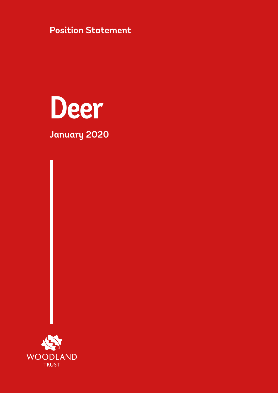**Position Statement**



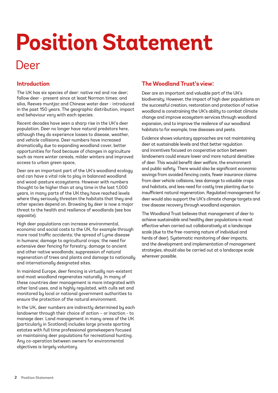# **Position Statement**

# Deer

## **Introduction**

The UK has six species of deer: native red and roe deer; fallow deer - present since at least Norman times; and sika, Reeves muntjac and Chinese water deer - introduced in the past 150 years. The geographic distribution, impact and behaviour vary with each species.

Recent decades have seen a sharp rise in the UK's deer population. Deer no longer have natural predators here, although they do experience losses to disease, weather, and vehicle collisions. Deer numbers have increased dramatically due to expanding woodland cover, better opportunities for food because of changes in agriculture such as more winter cereals, milder winters and improved access to urban green space,

Deer are an important part of the UK's woodland ecology and can have a vital role to play in balanced woodland and wood-pasture ecosystems. However with numbers thought to be higher than at any time in the last 1,000 years, in many parts of the UK they have reached levels where they seriously threaten the habitats that they and other species depend on. Browsing by deer is now a major threat to the health and resilience of woodlands (see box opposite).

High deer populations can increase environmental, economic and social costs to the UK, for example through more road traffic accidents; the spread of Lyme disease in humans; damage to agricultural crops; the need for extensive deer fencing for forestry; damage to ancient and other native woodlands; suppression of natural regeneration of trees and plants and damage to nationally and internationally designated sites.

In mainland Europe, deer fencing is virtually non-existent and most woodland regenerates naturally. In many of these countries deer management is more integrated with other land uses, and is highly regulated, with culls set and monitored by local or national government authorities to ensure the protection of the natural environment.

In the UK, deer numbers are indirectly determined by each landowner through their choice of action – or inaction - to manage deer. Land management in many areas of the UK (particularly in Scotland) includes large private sporting estates with full time professional gamekeepers focused on maintaining deer populations for recreational hunting. Any co-operation between owners for environmental objectives is largely voluntary.

## **The Woodland Trust's view:**

Deer are an important and valuable part of the UK's biodiversity. However, the impact of high deer populations on the successful creation, restoration and protection of native woodland is constraining the UK's ability to combat climate change and improve ecosystem services through woodland expansion, and to improve the resilence of our woodland habitats to for example, tree diseases and pests.

Evidence shows voluntary approaches are not maintaining deer at sustainable levels and that better regulation and incentives focused on cooperative action between landowners could ensure lower and more natural densities of deer. This would benefit deer welfare, the environment and public safety. There would also be significant economic savings from avoided fencing costs, fewer insurance claims from deer vehicle collisions, less damage to valuable crops and habitats, and less need for costly tree planting due to insufficient natural regeneration. Regulated management for deer would also support the UK's climate change targets and tree disease recovery through woodland expansion.

The Woodland Trust believes that management of deer to achieve sustainable and healthy deer populations is most effective when carried out collaboratively at a landscape scale (due to the free-roaming nature of individual and herds of deer). Systematic monitoring of deer impacts, and the development and implementation of management strategies, should also be carried out at a landscape scale wherever possible.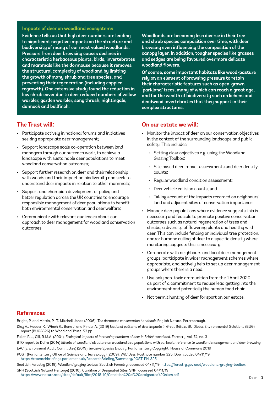#### **Impacts of deer on woodland ecosystems**

**Evidence tells us that high deer numbers are leading to significant negative impacts on the structure and biodiversity of many of our most valued woodlands. Pressure from deer browsing causes declines in characteristic herbaceous plants, birds, invertebrates and mammals like the dormouse because it removes the structural complexity of woodland by limiting the growth of many shrub and tree species, and preventing their regeneration (including coppice regrowth). One extensive study found the reduction in low shrub cover due to deer reduced numbers of willow warbler, garden warbler, song thrush, nightingale, dunnock and bullfinch.** 

#### **The Trust will:**

- Participate actively in national forums and initiatives seeking appropriate deer management;
- Support landscape scale co-operation between land managers through our outreach work, to achieve a landscape with sustainable deer populations to meet woodland conservation outcomes;
- Support further research on deer and their relationship with woods and their impact on biodiversity and seek to understand deer impacts in relation to other mammals;
- Support and champion development of policy and better regulation across the UK countries to encourage responsible management of deer populations to benefit both environmental conservation and deer welfare;
- Communicate with relevant audiences about our approach to deer management for woodland conservation outcomes.

**Woodlands are becoming less diverse in their tree and shrub species composition over time, with deer browsing even influencing the composition of the canopy layer. In addition, tougher species like grasses and sedges are being favoured over more delicate woodland flowers.** 

**Of course, some important habitats like wood-pasture rely on an element of browsing pressure to retain their characteristic features such as open-grown 'parkland' trees, many of which can reach a great age, and for the wealth of biodiversity such as lichens and deadwood invertebrates that they support in their complex structures.** 

#### **On our estate we will:**

- Monitor the impact of deer on our conservation objectives in the context of the surrounding landscape and public safety. This includes:
	- Setting clear objectives e.g. using the Woodland Grazing Toolbox;
	- Site based deer impact assessments and deer density counts;
	- Regular woodland condition assessment;
	- Deer vehicle collision counts; and
	- Taking account of the impacts recorded on neighbours' land and adjacent sites of conservation importance.
- Manage deer populations where evidence suggests this is necessary and feasible to promote positive conservation outcomes such as natural regeneration of trees and shrubs, a diversity of flowering plants and healthy wild deer. This can include fencing or individual tree protection, and/or humane culling of deer to a specific density where monitoring suggests this is necessary.
- Co-operate with neighbours and local deer management groups, participate in wider management schemes where appropriate, and actively help to set up deer management groups where there is a need.
- Use only non-toxic ammunition from the 1 April 2020 as part of a commitment to reduce lead getting into the environment and potentially the human food chain.
- Not permit hunting of deer for sport on our estate.

#### **References**

Bright, P. and Morris, P., T. Mitchell-Jones (2006): *The dormouse conservation handbook.* English Nature. Peterborough.

Diaz A., Hodder K., Winch K., Bone J. and Pinder A. (2019) *National patterns of deer impacts in Great Britain.* BU Global Environmental Solutions (BUG) report (BUG2826) to Woodland Trust. 53 pp.

Fuller, R.J., Gill, R.M.A. (2001). *Ecological impacts of increasing numbers of deer in British woodland.* Forestry, vol. 74, no. 3

BTO report to Defra (2014) *Effects of woodland structure on woodland bird populations with particular reference to woodland management and deer browsing*  EAC (Environment Audit Committee) (2019). *Invasive Species Enquiry,* Parliamentary Copyright, House of Commons 2019

POST (Parliamentary Office of Science and Technology) (2009). *Wild Deer*, Postnote number 325, Downloaded 04/11/19 <https://researchbriefings.parliament.uk/ResearchBriefing/Summary/POST-PN-325>

Scottish Forestry (2019). *Woodland grazing toolbox.* Scottish Forestry, accessed 04/11/19 <https://forestry.gov.scot/woodland-grazing-toolbox>

SNH (Scottish Natural Heritage) (2010). *Condition of Designated Sites.* SNH, accessed 04/11/19

<https://www.nature.scot/sites/default/files/2018-10/Condition%20of%20designated%20sites.pdf>